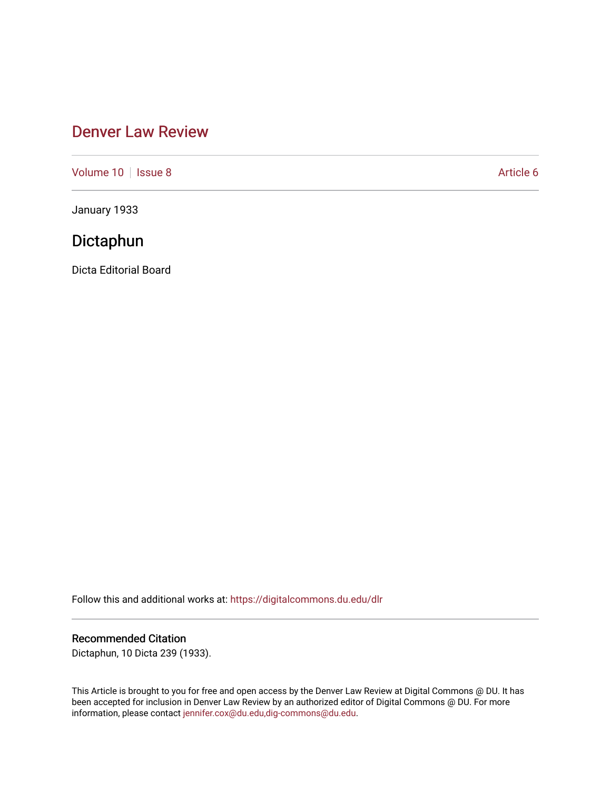## [Denver Law Review](https://digitalcommons.du.edu/dlr)

[Volume 10](https://digitalcommons.du.edu/dlr/vol10) | [Issue 8](https://digitalcommons.du.edu/dlr/vol10/iss8) Article 6

January 1933

# Dictaphun

Dicta Editorial Board

Follow this and additional works at: [https://digitalcommons.du.edu/dlr](https://digitalcommons.du.edu/dlr?utm_source=digitalcommons.du.edu%2Fdlr%2Fvol10%2Fiss8%2F6&utm_medium=PDF&utm_campaign=PDFCoverPages) 

### Recommended Citation

Dictaphun, 10 Dicta 239 (1933).

This Article is brought to you for free and open access by the Denver Law Review at Digital Commons @ DU. It has been accepted for inclusion in Denver Law Review by an authorized editor of Digital Commons @ DU. For more information, please contact [jennifer.cox@du.edu,dig-commons@du.edu.](mailto:jennifer.cox@du.edu,dig-commons@du.edu)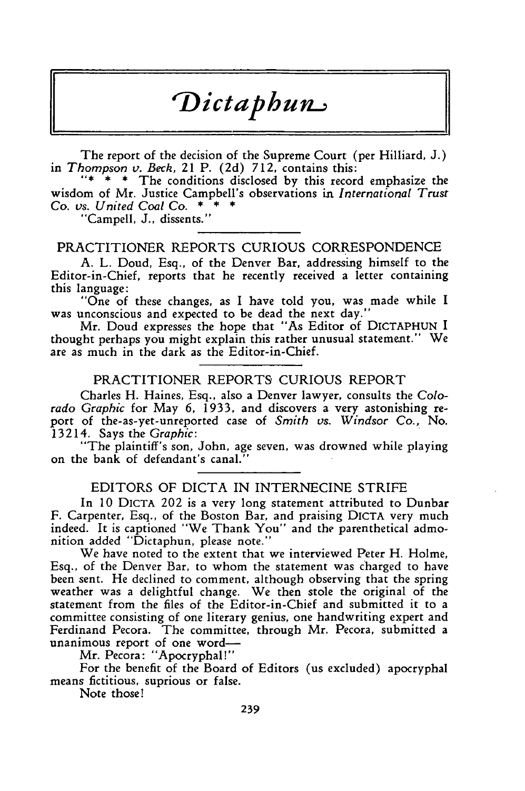# *Dict* **ap h un**

The report of the decision of the Supreme Court (per Hilliard, J.) in *Thompson* v. *Beck,* 21 P. (2d) 712, contains this:

"\* \* \* The conditions disclosed by this record emphasize the wisdom of Mr. Justice Campbell's observations in *International Trust* Co. *vs. United Coal Co.* \*

"Campell, J., dissents."

#### PRACTITIONER REPORTS CURIOUS CORRESPONDENCE

A. L. Doud, Esq., of the Denver Bar, addressing himself to the Editor-in-Chief, reports that he recently received a letter containing this language:

"One of these changes, as I have told you, was made while I was unconscious and expected to be dead the next day."

Mr. Doud expresses the hope that "As Editor of DICTAPHUN I thought perhaps you might explain this rather unusual statement." We are as much in the dark as the Editor-in-Chief.

#### PRACTITIONER REPORTS CURIOUS REPORT

Charles H. Haines, Esq., also a Denver lawyer, consults the *Colorado Graphic* for May 6, 1933, and discovers a very astonishing report of the-as-yet-unreported case of *Smith vs. Windsor* Co., No. 13214. Says the *Graphic:*

"The plaintiff's son, John, age seven, was drowned while playing on the bank of defendant's canal."

#### EDITORS OF DICTA IN INTERNECINE STRIFE

In 10 DICTA 202 is a very long statement attributed to Dunbar F. Carpenter, Esq., of the Boston Bar, and praising DICTA very much indeed. It is captioned "We Thank You" and the parenthetical admonition added "Dictaphun, please note."

We have noted to the extent that we interviewed Peter H. Holme, Esq., of the Denver Bar, to whom the statement was charged to have been sent. He declined to comment, although observing that the spring weather was a delightful change. We then stole the original of the statement from the files of the Editor-in-Chief and submitted it to a committee consisting of one literary genius, one handwriting expert and Ferdinand Pecora. The committee, through Mr. Pecora, submitted a unanimous report of one word-

Mr. Pecora: "Apocryphal!"

For the benefit of the Board of Editors (us excluded) apocryphal means fictitious, suprious or false.

Note those!